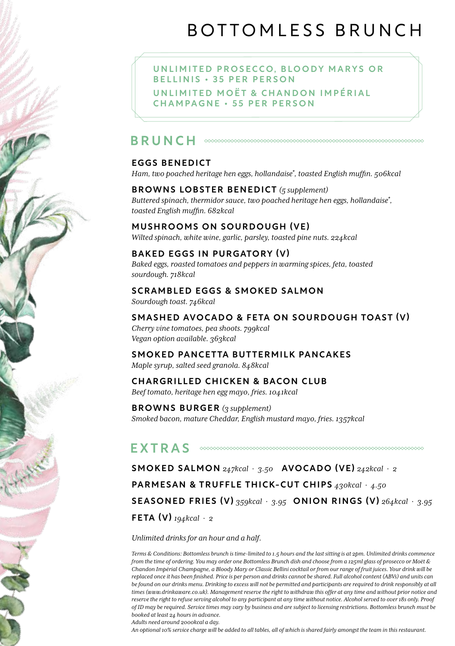# BOTTOMLESS BRUNCH

UNLIMITED PROSECCO, BLOODY MARYS OR B E L L I N I S · 35 PER PERSON UNI I MITED MOËT & CHANDON I MPÉRIAI CHAMPAGNE • 55 PER PERSON

# BRUNCH

# EGGS BENEDICT

*Ham, two poached heritage hen eggs, hollandaise\* , toasted English muffin. 506kcal*

# BROWNS LOBSTER BENEDICT *(5 supplement)*

*Buttered spinach, thermidor sauce, two poached heritage hen eggs, hollandaise\* , toasted English muffin. 682kcal*

# MUSHROOMS ON SOURDOUGH (VE)

*Wilted spinach, white wine, garlic, parsley, toasted pine nuts. 224kcal*

# BAKED EGGS IN PURGATORY (V)

*Baked eggs, roasted tomatoes and peppers in warming spices, feta, toasted sourdough. 718kcal*

### SCRAMBLED EGGS & SMOKED SALMON

*Sourdough toast. 746kcal*

# SMASHED AVOCADO & FETA ON SOURDOUGH TOAST (V)

*Cherry vine tomatoes, pea shoots. 799kcal Vegan option available. 363kcal*

#### SMOKED PANCETTA BUTTERMILK PANCAKES *Maple syrup, salted seed granola. 848kcal*

# CHARGRILLED CHICKEN & BACON CLUB

*Beef tomato, heritage hen egg mayo, fries. 1041kcal*

BROWNS BURGER *(3 supplement) Smoked bacon, mature Cheddar, English mustard mayo, fries. 1357kcal*

#### EXTRAS

SMOKED SALMON *247kcal* · *3.50* AVOCADO (VE) *242kcal* · *2* PARMESAN & TRUFFLE THICK-CUT CHIPS *430kcal* · *4.50* SEASONED FRIES (V) *359kcal* · *3.95* ONION RINGS (V) *264kcal* · *3.95* FETA (V) *194kcal* · *2*

*Unlimited drinks for an hour and a half.* 

*Terms & Conditions: Bottomless brunch is time-limited to 1.5 hours and the last sitting is at 2pm. Unlimited drinks commence from the time of ordering. You may order one Bottomless Brunch dish and choose from a 125ml glass of prosecco or Moët & Chandon Impérial Champagne, a Bloody Mary or Classic Bellini cocktail or from our range of fruit juices. Your drink will be replaced once it has been finished. Price is per person and drinks cannot be shared. Full alcohol content (ABVs) and units can be found on our drinks menu. Drinking to excess will not be permitted and participants are required to drink responsibly at all times (www.drinkaware.co.uk). Management reserve the right to withdraw this offer at any time and without prior notice and reserve the right to refuse serving alcohol to any participant at any time without notice. Alcohol served to over 18s only. Proof of ID may be required. Service times may vary by business and are subject to licensing restrictions. Bottomless brunch must be booked at least 24 hours in advance.*

*Adults need around 2000kcal a day.* 

*An optional 10% service charge will be added to all tables, all of which is shared fairly amongst the team in this restaurant.*